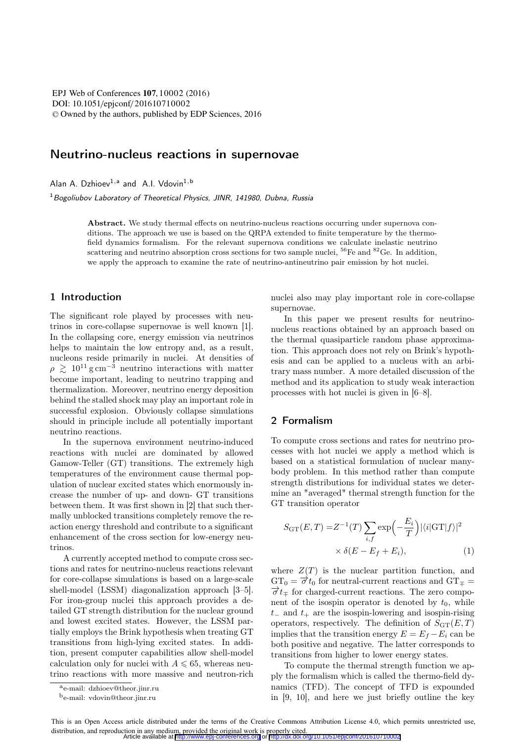DOI: 10.1051/epjconf/201610710002 © Owned by the authors, published by EDP Sciences, 2016 EPJ Web of Conferences **107**, 10002 (2016)

# Neutrino-nucleus reactions in supernovae

Alan A. Dzhioev<sup>1,a</sup> and A.I. Vdovin<sup>1,b</sup>

1*Bogoliubov Laboratory of Theoretical Physics, JINR, 141980, Dubna, Russia*

> Abstract. We study thermal effects on neutrino-nucleus reactions occurring under supernova conditions. The approach we use is based on the QRPA extended to finite temperature by the thermofield dynamics formalism. For the relevant supernova conditions we calculate inelastic neutrino scattering and neutrino absorption cross sections for two sample nuclei,  ${}^{56}Fe$  and  ${}^{82}Ge$ . In addition, we apply the approach to examine the rate of neutrino-antineutrino pair emission by hot nuclei.

### 1 Introduction

The significant role played by processes with neutrinos in core-collapse supernovae is well known [1]. In the collapsing core, energy emission via neutrinos helps to maintain the low entropy and, as a result, nucleons reside primarily in nuclei. At densities of  $\rho \gtrsim 10^{11}$  g cm<sup>-3</sup> neutrino interactions with matter<br>become important leading to neutrino trapping and become important, leading to neutrino trapping and thermalization. Moreover, neutrino energy deposition behind the stalled shock may play an important role in successful explosion. Obviously collapse simulations should in principle include all potentially important neutrino reactions.

In the supernova environment neutrino-induced reactions with nuclei are dominated by allowed Gamow-Teller (GT) transitions. The extremely high temperatures of the environment cause thermal population of nuclear excited states which enormously increase the number of up- and down- GT transitions between them. It was first shown in [2] that such thermally unblocked transitions completely remove the reaction energy threshold and contribute to a significant enhancement of the cross section for low-energy neutrinos.

A currently accepted method to compute cross sections and rates for neutrino-nucleus reactions relevant for core-collapse simulations is based on a large-scale shell-model (LSSM) diagonalization approach [3–5]. For iron-group nuclei this approach provides a detailed GT strength distribution for the nuclear ground and lowest excited states. However, the LSSM partially employs the Brink hypothesis when treating GT transitions from high-lying excited states. In addition, present computer capabilities allow shell-model calculation only for nuclei with  $A \leq 65$ , whereas neutrino reactions with more massive and neutron-rich nuclei also may play important role in core-collapse supernovae.

In this paper we present results for neutrinonucleus reactions obtained by an approach based on the thermal quasiparticle random phase approximation. This approach does not rely on Brink's hypothesis and can be applied to a nucleus with an arbitrary mass number. A more detailed discussion of the method and its application to study weak interaction processes with hot nuclei is given in [6–8].

## 2 Formalism

To compute cross sections and rates for neutrino processes with hot nuclei we apply a method which is based on a statistical formulation of nuclear manybody problem. In this method rather than compute strength distributions for individual states we determine an "averaged" thermal strength function for the GT transition operator

$$
S_{\text{GT}}(E,T) = Z^{-1}(T) \sum_{i,f} \exp\left(-\frac{E_i}{T}\right) |\langle i| \text{GT}|f \rangle|^2
$$
  
 
$$
\times \delta(E - E_f + E_i), \tag{1}
$$

where  $Z(T)$  is the nuclear partition function, and  $GT_0 = \vec{\sigma} t_0$  for neutral-current reactions and  $GT_{\pm} =$  $\overrightarrow{\sigma} t_{\mp}$  for charged-current reactions. The zero component of the isospin operator is denoted by  $t_0$ , while  $t_$  and  $t_+$  are the isospin-lowering and isospin-rising operators, respectively. The definition of  $S_{GT}(E,T)$ implies that the transition energy  $E = E_f - E_i$  can be both positive and negative. The latter corresponds to transitions from higher to lower energy states.

To compute the thermal strength function we apply the formalism which is called the thermo-field dynamics (TFD). The concept of TFD is expounded in [9, 10], and here we just briefly outline the key

ae-mail: dzhioev@theor.jinr.ru

be-mail: vdovin@theor.jinr.ru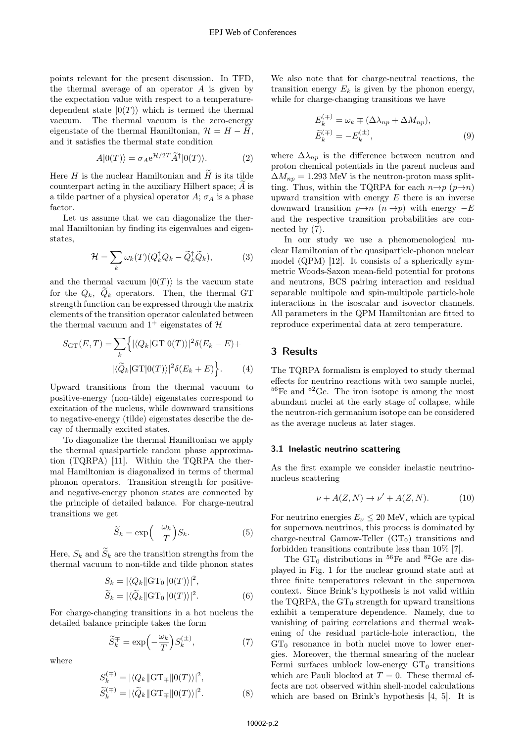points relevant for the present discussion. In TFD, the thermal average of an operator  $A$  is given by the expectation value with respect to a temperaturedependent state  $|0(T)\rangle$  which is termed the thermal<br>vacuum. The thermal vacuum is the zero-energy The thermal vacuum is the zero-energy eigenstate of the thermal Hamiltonian,  $\mathcal{H} = H - H$ , and it satisfies the thermal state condition

$$
A|0(T)\rangle = \sigma_A e^{\mathcal{H}/2T} \widetilde{A}^{\dagger} |0(T)\rangle.
$$
 (2)

Here  $H$  is the nuclear Hamiltonian and  $H$  is its tilde counterpart acting in the auxiliary Hilbert space; A is a tilde partner of a physical operator  $A$ ;  $\sigma_A$  is a phase factor.

Let us assume that we can diagonalize the thermal Hamiltonian by finding its eigenvalues and eigenstates,

$$
\mathcal{H} = \sum_{k} \omega_k(T) (Q_k^{\dagger} Q_k - \tilde{Q}_k^{\dagger} \tilde{Q}_k), \tag{3}
$$

and the thermal vacuum  $|0(T)\rangle$  is the vacuum state for the  $Q_k$ ,  $\widetilde{Q}_k$  operators. Then, the thermal GT strength function can be expressed through the matrix elements of the transition operator calculated between the thermal vacuum and  $1^+$  eigenstates of  $\mathcal{H}$ 

$$
S_{\text{GT}}(E,T) = \sum_{k} \left\{ |\langle Q_k | \text{GT} | 0(T) \rangle|^2 \delta(E_k - E) + |\langle \tilde{Q}_k | \text{GT} | 0(T) \rangle|^2 \delta(E_k + E) \right\}.
$$
 (4)

Upward transitions from the thermal vacuum to positive-energy (non-tilde) eigenstates correspond to excitation of the nucleus, while downward transitions to negative-energy (tilde) eigenstates describe the decay of thermally excited states.

To diagonalize the thermal Hamiltonian we apply the thermal quasiparticle random phase approximation (TQRPA) [11]. Within the TQRPA the thermal Hamiltonian is diagonalized in terms of thermal phonon operators. Transition strength for positiveand negative-energy phonon states are connected by the principle of detailed balance. For charge-neutral transitions we get

$$
\widetilde{S}_k = \exp\left(-\frac{\omega_k}{T}\right) S_k. \tag{5}
$$

Here,  $S_k$  and  $S_k$  are the transition strengths from the thermal vacuum to pop-tilde and tilde phonon states thermal vacuum to non-tilde and tilde phonon states

$$
S_k = |\langle Q_k || \text{GT}_0 || 0(T) \rangle|^2,
$$
  
\n
$$
\widetilde{S}_k = |\langle \widetilde{Q}_k || \text{GT}_0 || 0(T) \rangle|^2.
$$
\n(6)

For charge-changing transitions in a hot nucleus the detailed balance principle takes the form

$$
\widetilde{S}_k^{\mp} = \exp\left(-\frac{\omega_k}{T}\right) S_k^{(\pm)},\tag{7}
$$

where

$$
S_k^{(\mp)} = |\langle Q_k || \text{GT}_{\mp} || 0(T) \rangle|^2,
$$
  

$$
\widetilde{S}_k^{(\mp)} = |\langle \widetilde{Q}_k || \text{GT}_{\mp} || 0(T) \rangle|^2.
$$
 (8)

We also note that for charge-neutral reactions, the transition energy  $E_k$  is given by the phonon energy, while for charge-changing transitions we have

$$
E_k^{(\mp)} = \omega_k \mp (\Delta \lambda_{np} + \Delta M_{np}),
$$
  
\n
$$
\widetilde{E}_k^{(\mp)} = -E_k^{(\pm)},
$$
\n(9)

where  $\Delta\lambda_{np}$  is the difference between neutron and proton chemical potentials in the parent nucleus and  $\Delta M_{np} = 1.293$  MeV is the neutron-proton mass splitting. Thus, within the TQRPA for each  $n \rightarrow p$  ( $p \rightarrow n$ ) upward transition with energy  $E$  there is an inverse downward transition  $p \rightarrow n$  ( $n \rightarrow p$ ) with energy  $-E$ and the respective transition probabilities are connected by (7).

In our study we use a phenomenological nuclear Hamiltonian of the quasiparticle-phonon nuclear model (QPM) [12]. It consists of a spherically symmetric Woods-Saxon mean-field potential for protons and neutrons, BCS pairing interaction and residual separable multipole and spin-multipole particle-hole interactions in the isoscalar and isovector channels. All parameters in the QPM Hamiltonian are fitted to reproduce experimental data at zero temperature.

### 3 Results

The TQRPA formalism is employed to study thermal effects for neutrino reactions with two sample nuclei,  $56$ Fe and  $82$ Ge. The iron isotope is among the most abundant nuclei at the early stage of collapse, while the neutron-rich germanium isotope can be considered as the average nucleus at later stages.

### 3.1 Inelastic neutrino scattering

As the first example we consider inelastic neutrinonucleus scattering

$$
\nu + A(Z, N) \to \nu' + A(Z, N). \tag{10}
$$

For neutrino energies  $E_{\nu} \leq 20$  MeV, which are typical for supernova neutrinos, this process is dominated by charge-neutral Gamow-Teller  $(GT_0)$  transitions and forbidden transitions contribute less than 10% [7].

The  $GT_0$  distributions in <sup>56</sup>Fe and <sup>82</sup>Ge are displayed in Fig. 1 for the nuclear ground state and at three finite temperatures relevant in the supernova context. Since Brink's hypothesis is not valid within the TQRPA, the  $GT_0$  strength for upward transitions exhibit a temperature dependence. Namely, due to vanishing of pairing correlations and thermal weakening of the residual particle-hole interaction, the  $GT_0$  resonance in both nuclei move to lower energies. Moreover, the thermal smearing of the nuclear Fermi surfaces unblock low-energy  $GT_0$  transitions which are Pauli blocked at  $T = 0$ . These thermal effects are not observed within shell-model calculations which are based on Brink's hypothesis [4, 5]. It is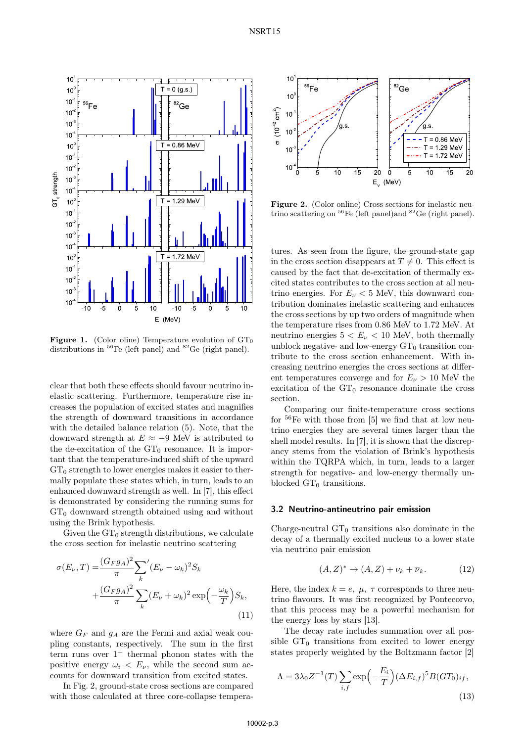

**Figure 1.** (Color oline) Temperature evolution of  $GT_0$  distributions in <sup>56</sup>Fe (left panel) and <sup>82</sup>Ge (right panel).

clear that both these effects should favour neutrino inelastic scattering. Furthermore, temperature rise increases the population of excited states and magnifies the strength of downward transitions in accordance with the detailed balance relation (5). Note, that the downward strength at  $E \approx -9$  MeV is attributed to the de-excitation of the  $GT_0$  resonance. It is important that the temperature-induced shift of the upward  $GT_0$  strength to lower energies makes it easier to thermally populate these states which, in turn, leads to an enhanced downward strength as well. In [7], this effect is demonstrated by considering the running sums for  $GT_0$  downward strength obtained using and without using the Brink hypothesis.

Given the  $GT_0$  strength distributions, we calculate the cross section for inelastic neutrino scattering

$$
\sigma(E_{\nu},T) = \frac{(G_F g_A)^2}{\pi} \sum_k (E_{\nu} - \omega_k)^2 S_k
$$

$$
+ \frac{(G_F g_A)^2}{\pi} \sum_k (E_{\nu} + \omega_k)^2 \exp\left(-\frac{\omega_k}{T}\right) S_k,
$$
(11)

where  $G_F$  and  $g_A$  are the Fermi and axial weak coupling constants, respectively. The sum in the first term runs over  $1^+$  thermal phonon states with the positive energy  $\omega_i \langle E_\nu, \rangle$  while the second sum accounts for downward transition from excited states.

In Fig. 2, ground-state cross sections are compared with those calculated at three core-collapse tempera-



Figure 2. (Color online) Cross sections for inelastic neutrino scattering on <sup>56</sup>Fe (left panel)and <sup>82</sup>Ge (right panel).

tures. As seen from the figure, the ground-state gap in the cross section disappears at  $T \neq 0$ . This effect is caused by the fact that de-excitation of thermally excited states contributes to the cross section at all neutrino energies. For  $E_{\nu}$  < 5 MeV, this downward contribution dominates inelastic scattering and enhances the cross sections by up two orders of magnitude when the temperature rises from 0.86 MeV to 1.72 MeV. At neutrino energies  $5 < E_{\nu} < 10$  MeV, both thermally unblock negative- and low-energy  $GT_0$  transition contribute to the cross section enhancement. With increasing neutrino energies the cross sections at different temperatures converge and for  $E_{\nu} > 10$  MeV the excitation of the  $GT_0$  resonance dominate the cross section.

Comparing our finite-temperature cross sections for  $56$ Fe with those from [5] we find that at low neutrino energies they are several times larger than the shell model results. In [7], it is shown that the discrepancy stems from the violation of Brink's hypothesis within the TQRPA which, in turn, leads to a larger strength for negative- and low-energy thermally unblocked  $GT_0$  transitions.

# 3.2 Neutrino-antineutrino pair emission

Charge-neutral  $GT_0$  transitions also dominate in the decay of a thermally excited nucleus to a lower state via neutrino pair emission

$$
(A, Z)^* \to (A, Z) + \nu_k + \overline{\nu}_k. \tag{12}
$$

Here, the index  $k = e, \mu, \tau$  corresponds to three neutrino flavours. It was first recognized by Pontecorvo, that this process may be a powerful mechanism for the energy loss by stars [13].

The decay rate includes summation over all possible  $GT_0$  transitions from excited to lower energy states properly weighted by the Boltzmann factor [2]

$$
\Lambda = 3\lambda_0 Z^{-1}(T) \sum_{i,f} \exp\left(-\frac{E_i}{T}\right) (\Delta E_{i,f})^5 B (GT_0)_{if},\tag{13}
$$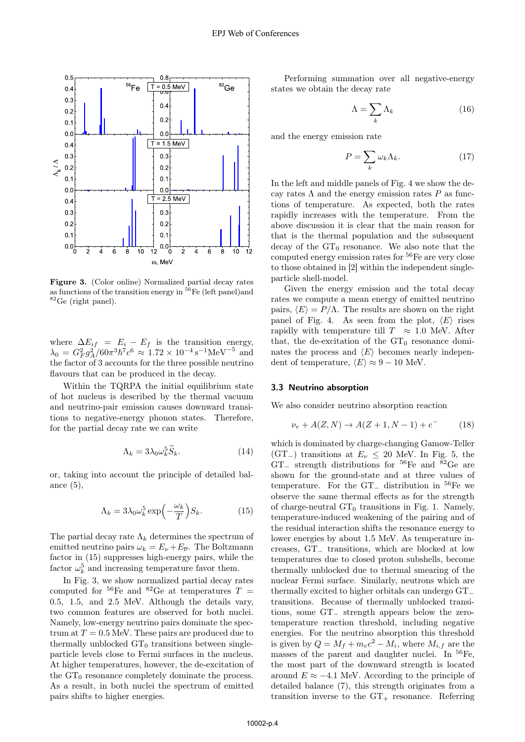

**Figure 3.** (Color online) Normalized partial decay rates as functions of the transition energy in  ${}^{56}$ Fe (left panel)and <sup>82</sup>Ge (right panel).

where  $\Delta E_{if} = E_i - E_f$  is the transition energy,  $\lambda_0 = G_F^2 g_A^2 / 60 \pi^3 \hbar^7 c^6 \approx 1.72 \times 10^{-4} \text{ s}^{-1} \text{MeV}^{-5}$  and<br>the factor of 3 accounts for the three possible peutrino the factor of 3 accounts for the three possible neutrino flavours that can be produced in the decay.

Within the TQRPA the initial equilibrium state of hot nucleus is described by the thermal vacuum and neutrino-pair emission causes downward transitions to negative-energy phonon states. Therefore, for the partial decay rate we can write

$$
\Lambda_k = 3\lambda_0 \omega_k^5 \widetilde{S}_k. \tag{14}
$$

or, taking into account the principle of detailed balance  $(5)$ ,

$$
\Lambda_k = 3\lambda_0 \omega_k^5 \exp\left(-\frac{\omega_k}{T}\right) S_k. \tag{15}
$$

The partial decay rate  $\Lambda_k$  determines the spectrum of emitted neutrino pairs  $\omega_k = E_{\nu} + E_{\overline{\nu}}$ . The Boltzmann factor in (15) suppresses high-energy pairs, while the factor  $\omega_b^5$  and increasing temperature favor them.

In Fig. 3, we show normalized partial decay rates computed for <sup>56</sup>Fe and <sup>82</sup>Ge at temperatures  $T =$ <sup>0</sup>.5, <sup>1</sup>.5, and 2.<sup>5</sup> MeV. Although the details vary, two common features are observed for both nuclei. Namely, low-energy neutrino pairs dominate the spectrum at  $T = 0.5$  MeV. These pairs are produced due to thermally unblocked  $GT_0$  transitions between singleparticle levels close to Fermi surfaces in the nucleus. At higher temperatures, however, the de-excitation of the  $GT_0$  resonance completely dominate the process. As a result, in both nuclei the spectrum of emitted pairs shifts to higher energies.

Performing summation over all negative-energy states we obtain the decay rate

$$
\Lambda = \sum_{k} \Lambda_{k} \tag{16}
$$

and the energy emission rate

$$
P = \sum_{k} \omega_k \Lambda_k. \tag{17}
$$

In the left and middle panels of Fig. 4 we show the decay rates  $\Lambda$  and the energy emission rates P as functions of temperature. As expected, both the rates rapidly increases with the temperature. From the above discussion it is clear that the main reason for that is the thermal population and the subsequent decay of the  $GT_0$  resonance. We also note that the computed energy emission rates for <sup>56</sup>Fe are very close to those obtained in [2] within the independent singleparticle shell-model.

Given the energy emission and the total decay rates we compute a mean energy of emitted neutrino pairs,  $\langle E \rangle = P/\Lambda$ . The results are shown on the right<br>panel of Fig. 4. As seen from the plot  $\langle E \rangle$  rises panel of Fig. 4. As seen from the plot,  $\langle E \rangle$  rises<br>rapidly with temperature till  $T \approx 1.0$  MeV. After rapidly with temperature till  $T \approx 1.0$  MeV. After that, the de-excitation of the  $GT_0$  resonance dominates the process and  $\langle E \rangle$  becomes nearly independent of temperature  $\langle E \rangle \approx 0 - 10$  MeV dent of temperature,  $\langle E \rangle \approx 9 - 10$  MeV.

#### 3.3 Neutrino absorption

We also consider neutrino absorption reaction

$$
\nu_e + A(Z, N) \to A(Z + 1, N - 1) + e^- \tag{18}
$$

which is dominated by charge-changing Gamow-Teller (GT<sub>−</sub>) transitions at  $E_{\nu} \leq 20$  MeV. In Fig. 5, the GT<sub>−</sub> strength distributions for <sup>56</sup>Fe and <sup>82</sup>Ge are shown for the ground-state and at three values of temperature. For the GT<sup>−</sup> distribution in <sup>56</sup>Fe we observe the same thermal effects as for the strength of charge-neutral  $GT_0$  transitions in Fig. 1. Namely, temperature-induced weakening of the pairing and of the residual interaction shifts the resonance energy to lower energies by about 1.5 MeV. As temperature increases, GT<sup>−</sup> transitions, which are blocked at low temperatures due to closed proton subshells, become thermally unblocked due to thermal smearing of the nuclear Fermi surface. Similarly, neutrons which are thermally excited to higher orbitals can undergo GT<sup>−</sup> transitions. Because of thermally unblocked transitions, some GT<sup>−</sup> strength appears below the zerotemperature reaction threshold, including negative energies. For the neutrino absorption this threshold is given by  $Q = M_f + m_e c^2 - M_i$ , where  $M_{i,f}$  are the masses of the parent and daughter nuclei. In <sup>56</sup>Fe, the most part of the downward strength is located around  $E \approx -4.1$  MeV. According to the principle of detailed balance (7), this strength originates from a transition inverse to the  $GT_+$  resonance. Referring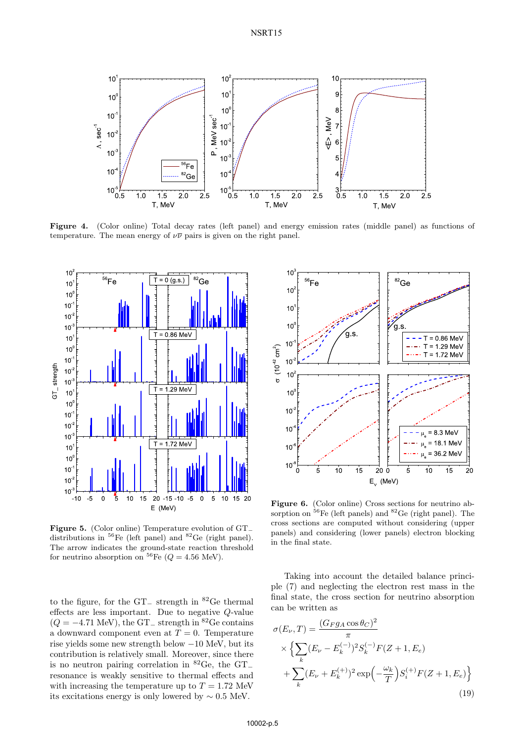

Figure 4. (Color online) Total decay rates (left panel) and energy emission rates (middle panel) as functions of temperature. The mean energy of  $\nu\overline{\nu}$  pairs is given on the right panel.



Figure 5. (Color online) Temperature evolution of GT<sup>−</sup> distributions in <sup>56</sup>Fe (left panel) and <sup>82</sup>Ge (right panel). The arrow indicates the ground-state reaction threshold for neutrino absorption on  $^{56}Fe$  ( $Q = 4.56$  MeV).

to the figure, for the GT<sup>−</sup> strength in <sup>82</sup>Ge thermal effects are less important. Due to negative Q-value  $(Q = -4.71$  MeV), the GT<sub>−</sub> strength in <sup>82</sup>Ge contains a downward component even at  $T = 0$ . Temperature rise yields some new strength below −10 MeV, but its contribution is relatively small. Moreover, since there is no neutron pairing correlation in <sup>82</sup>Ge, the GT<sup>−</sup> resonance is weakly sensitive to thermal effects and with increasing the temperature up to  $T = 1.72$  MeV its excitations energy is only lowered by  $\sim 0.5$  MeV.



Figure 6. (Color online) Cross sections for neutrino absorption on  ${}^{56}Fe$  (left panels) and  ${}^{82}Ge$  (right panel). The cross sections are computed without considering (upper panels) and considering (lower panels) electron blocking in the final state.

Taking into account the detailed balance principle (7) and neglecting the electron rest mass in the final state, the cross section for neutrino absorption can be written as

$$
\sigma(E_{\nu},T) = \frac{(G_F g_A \cos \theta_C)^2}{\pi} \times \left\{ \sum_k (E_{\nu} - E_k^{(-)})^2 S_k^{(-)} F(Z+1, E_e) + \sum_k (E_{\nu} + E_k^{(+)})^2 \exp\left(-\frac{\omega_k}{T}\right) S_i^{(+)} F(Z+1, E_e) \right\}
$$
\n(19)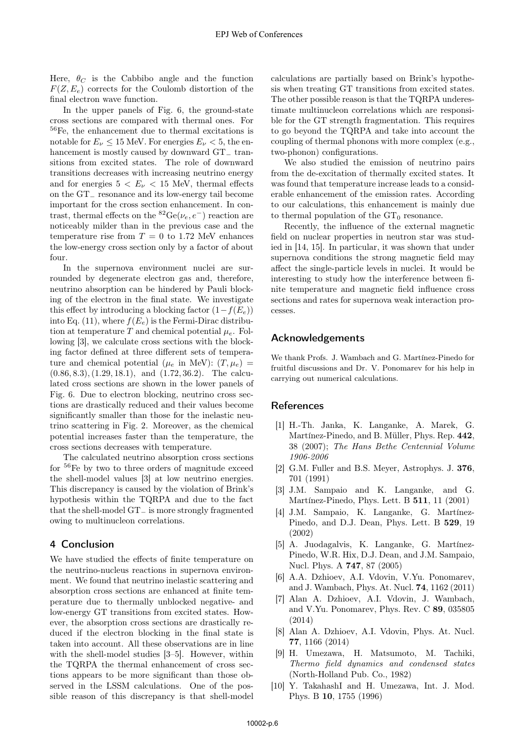Here,  $\theta_C$  is the Cabbibo angle and the function  $F(Z, E_e)$  corrects for the Coulomb distortion of the final electron wave function.

In the upper panels of Fig. 6, the ground-state cross sections are compared with thermal ones. For <sup>56</sup>Fe, the enhancement due to thermal excitations is notable for  $E_{\nu} \leq 15$  MeV. For energies  $E_{\nu} < 5$ , the enhancement is mostly caused by downward GT<sup>−</sup> transitions from excited states. The role of downward transitions decreases with increasing neutrino energy and for energies  $5 < E_{\nu} < 15$  MeV, thermal effects on the GT<sup>−</sup> resonance and its low-energy tail become important for the cross section enhancement. In contrast, thermal effects on the  ${}^{82}Ge(\nu_e, e^-)$  reaction are noticeably milder than in the previous case and the temperature rise from  $T = 0$  to 1.72 MeV enhances the low-energy cross section only by a factor of about four.

In the supernova environment nuclei are surrounded by degenerate electron gas and, therefore, neutrino absorption can be hindered by Pauli blocking of the electron in the final state. We investigate this effect by introducing a blocking factor  $(1-f(E_e))$ into Eq. (11), where  $f(E_e)$  is the Fermi-Dirac distribution at temperature T and chemical potential  $\mu_e$ . Following [3], we calculate cross sections with the blocking factor defined at three different sets of temperature and chemical potential ( $\mu_e$  in MeV):  $(T, \mu_e)$  = (0.86, <sup>8</sup>.3),(1.29, <sup>18</sup>.1), and (1.72, <sup>36</sup>.2). The calculated cross sections are shown in the lower panels of Fig. 6. Due to electron blocking, neutrino cross sections are drastically reduced and their values become significantly smaller than those for the inelastic neutrino scattering in Fig. 2. Moreover, as the chemical potential increases faster than the temperature, the cross sections decreases with temperature.

The calculated neutrino absorption cross sections for <sup>56</sup>Fe by two to three orders of magnitude exceed the shell-model values [3] at low neutrino energies. This discrepancy is caused by the violation of Brink's hypothesis within the TQRPA and due to the fact that the shell-model GT<sup>−</sup> is more strongly fragmented owing to multinucleon correlations.

## 4 Conclusion

We have studied the effects of finite temperature on the neutrino-nucleus reactions in supernova environment. We found that neutrino inelastic scattering and absorption cross sections are enhanced at finite temperature due to thermally unblocked negative- and low-energy GT transitions from excited states. However, the absorption cross sections are drastically reduced if the electron blocking in the final state is taken into account. All these observations are in line with the shell-model studies [3–5]. However, within the TQRPA the thermal enhancement of cross sections appears to be more significant than those observed in the LSSM calculations. One of the possible reason of this discrepancy is that shell-model calculations are partially based on Brink's hypothesis when treating GT transitions from excited states. The other possible reason is that the TQRPA underestimate multinucleon correlations which are responsible for the GT strength fragmentation. This requires to go beyond the TQRPA and take into account the coupling of thermal phonons with more complex (e.g., two-phonon) configurations.

We also studied the emission of neutrino pairs from the de-excitation of thermally excited states. It was found that temperature increase leads to a considerable enhancement of the emission rates. According to our calculations, this enhancement is mainly due to thermal population of the  $\mathrm{GT}_0$  resonance.

Recently, the influence of the external magnetic field on nuclear properties in neutron star was studied in [14, 15]. In particular, it was shown that under supernova conditions the strong magnetic field may affect the single-particle levels in nuclei. It would be interesting to study how the interference between finite temperature and magnetic field influence cross sections and rates for supernova weak interaction processes.

### Acknowledgements

We thank Profs. J. Wambach and G. Martínez-Pinedo for fruitful discussions and Dr. V. Ponomarev for his help in carrying out numerical calculations.

### References

- [1] H.-Th. Janka, K. Langanke, A. Marek, G. Martínez-Pinedo, and B. Müller, Phys. Rep. 442, 38 (2007); *The Hans Bethe Centennial Volume 1906-2006*
- [2] G.M. Fuller and B.S. Meyer, Astrophys. J. 376, 701 (1991)
- [3] J.M. Sampaio and K. Langanke, and G. Martínez-Pinedo, Phys. Lett. B 511, 11 (2001)
- [4] J.M. Sampaio, K. Langanke, G. Martínez-Pinedo, and D.J. Dean, Phys. Lett. B 529, 19 (2002)
- [5] A. Juodagalvis, K. Langanke, G. Martínez-Pinedo, W.R. Hix, D.J. Dean, and J.M. Sampaio, Nucl. Phys. A 747, 87 (2005)
- [6] A.A. Dzhioev, A.I. Vdovin, V.Yu. Ponomarev, and J. Wambach, Phys. At. Nucl. 74, 1162 (2011)
- [7] Alan A. Dzhioev, A.I. Vdovin, J. Wambach, and V.Yu. Ponomarev, Phys. Rev. C 89, 035805 (2014)
- [8] Alan A. Dzhioev, A.I. Vdovin, Phys. At. Nucl. 77, 1166 (2014)
- [9] H. Umezawa, H. Matsumoto, M. Tachiki, *Thermo field dynamics and condensed states* (North-Holland Pub. Co., 1982)
- [10] Y. TakahashI and H. Umezawa, Int. J. Mod. Phys. B 10, 1755 (1996)